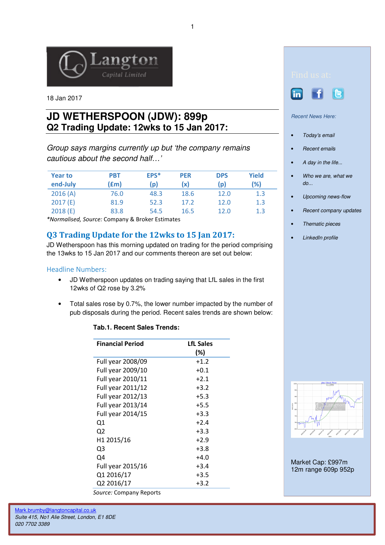

18 Jan 2017

# **JD WETHERSPOON (JDW): 899p Q2 Trading Update: 12wks to 15 Jan 2017:**

Group says margins currently up but 'the company remains cautious about the second half…'

| <b>Year to</b><br>end-July | <b>PBT</b><br>(£m) | EPS*<br>(p) | <b>PER</b><br>(x) | <b>DPS</b><br>(p | Yield<br>(%) |
|----------------------------|--------------------|-------------|-------------------|------------------|--------------|
| 2016(A)                    | 76.0               | 48.3        | 18.6              | 12.0             | 1.3          |
| 2017(E)                    | 81.9               | 52.3        | 17.2              | 12.0             | 1.3          |
| 2018(E)                    | 83.8               | 54.5        | 16.5              | 12.0             | 1.3          |

\*Normalised, Source: Company & Broker Estimates

## Q3 Trading Update for the 12wks to 15 Jan 2017:

JD Wetherspoon has this morning updated on trading for the period comprising the 13wks to 15 Jan 2017 and our comments thereon are set out below:

### Headline Numbers:

- JD Wetherspoon updates on trading saying that LfL sales in the first 12wks of Q2 rose by 3.2%
- Total sales rose by 0.7%, the lower number impacted by the number of pub disposals during the period. Recent sales trends are shown below:

### **Tab.1. Recent Sales Trends:**

| <b>Financial Period</b> | <b>LfL Sales</b> |  |  |
|-------------------------|------------------|--|--|
|                         | (%)              |  |  |
| Full year 2008/09       | $+1.2$           |  |  |
| Full year 2009/10       | $+0.1$           |  |  |
| Full year 2010/11       | $+2.1$           |  |  |
| Full year 2011/12       | $+3.2$           |  |  |
| Full year 2012/13       | $+5.3$           |  |  |
| Full year 2013/14       | $+5.5$           |  |  |
| Full year 2014/15       | $+3.3$           |  |  |
| Q1                      | $+2.4$           |  |  |
| Q <sub>2</sub>          | $+3.3$           |  |  |
| H <sub>1</sub> 2015/16  | $+2.9$           |  |  |
| Q3                      | $+3.8$           |  |  |
| Q4                      | $+4.0$           |  |  |
| Full year 2015/16       | $+3.4$           |  |  |
| Q1 2016/17              | $+3.5$           |  |  |
| Q2 2016/17              | $+3.2$           |  |  |
| Source: Company Reports |                  |  |  |





Recent News Here:

- Today's email
- Recent emails
- A day in the life...
- Who we are, what we do...
- Upcoming news-flow
- Recent company updates
- Thematic pieces
- LinkedIn profile



Market Cap: £997m 12m range 609p 952p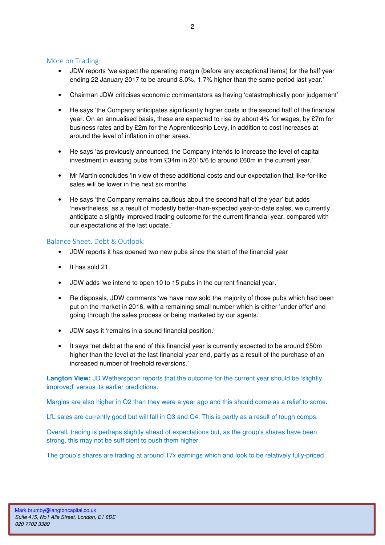#### More on Trading:

- JDW reports 'we expect the operating margin (before any exceptional items) for the half year ending 22 January 2017 to be around 8.0%, 1.7% higher than the same period last year.'
- Chairman JDW criticises economic commentators as having 'catastrophically poor judgement'
- He says 'the Company anticipates significantly higher costs in the second half of the financial year. On an annualised basis, these are expected to rise by about 4% for wages, by £7m for business rates and by £2m for the Apprenticeship Levy, in addition to cost increases at around the level of inflation in other areas.'
- He says 'as previously announced, the Company intends to increase the level of capital investment in existing pubs from £34m in 2015/6 to around £60m in the current year.'
- Mr Martin concludes 'in view of these additional costs and our expectation that like-for-like sales will be lower in the next six months'
- He says 'the Company remains cautious about the second half of the year' but adds 'nevertheless, as a result of modestly better-than-expected year-to-date sales, we currently anticipate a slightly improved trading outcome for the current financial year, compared with our expectations at the last update.'

#### Balance Sheet, Debt & Outlook:

- JDW reports it has opened two new pubs since the start of the financial year
- It has sold 21
- JDW adds 'we intend to open 10 to 15 pubs in the current financial year.'
- Re disposals, JDW comments 'we have now sold the majority of those pubs which had been put on the market in 2016, with a remaining small number which is either 'under offer' and going through the sales process or being marketed by our agents.'
- JDW says it 'remains in a sound financial position.'
- It says 'net debt at the end of this financial year is currently expected to be around £50m higher than the level at the last financial year end, partly as a result of the purchase of an increased number of freehold reversions.'

**Langton View:** JD Wetherspoon reports that the outcome for the current year should be 'slightly improved' versus its earlier predictions.

Margins are also higher in Q2 than they were a year ago and this should come as a relief to some.

LfL sales are currently good but will fall in Q3 and Q4. This is partly as a result of tough comps.

Overall, trading is perhaps slightly ahead of expectations but, as the group's shares have been strong, this may not be sufficient to push them higher.

The group's shares are trading at around 17x earnings which and look to be relatively fully-priced